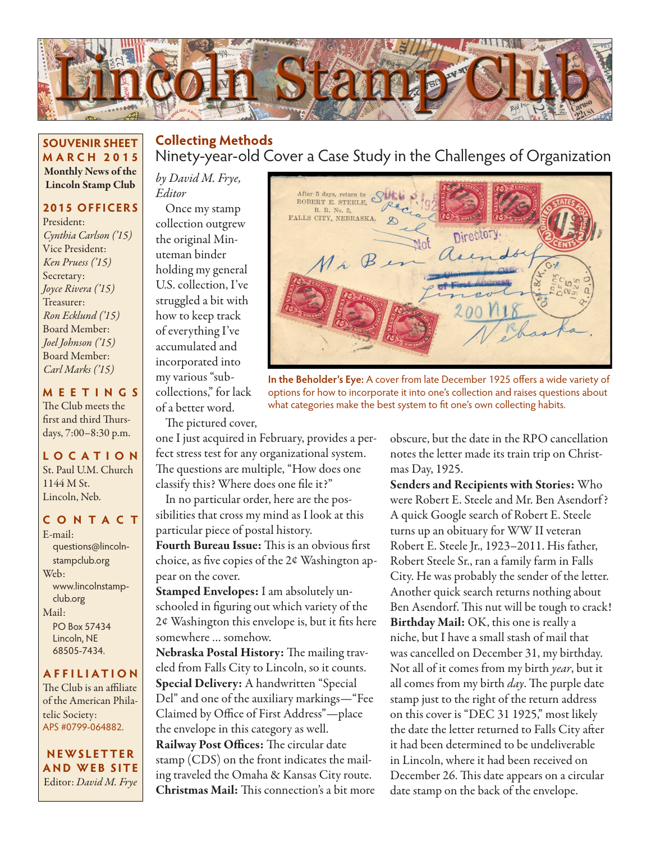

### **SOUVENIR SHEET MARCH 2015** Monthly News of the Lincoln Stamp Club

### **2015 OFFICERS**

President: *Cynthia Carlson ('15)* Vice President: *Ken Pruess ('15)* Secretary: *Joyce Rivera ('15)* Treasurer: *Ron Ecklund ('15)* Board Member: *Joel Johnson ('15)* Board Member: *Carl Marks ('15)*

**MEETINGS**

The Club meets the first and third Thursdays, 7:00–8:30 p.m.

#### **LO C ATI O N** St. Paul U.M. Church 1144 M St. Lincoln, Neb.

### **CONTACT**

E-mail: questions@lincolnstampclub.org Web: www.lincolnstampclub.org Mail: PO Box 57434 Lincoln, NE 68505-7434.

### **AFFI LIATI O N**

The Club is an affiliate of the American Philatelic Society: APS #0799-064882.

**NEWSLETTER AND WEB SITE** Editor: *David M. Frye*

### Ninety-year-old Cover a Case Study in the Challenges of Organization **Collecting Methods**

*by David M. Frye, Editor*

Once my stamp collection outgrew the original Minuteman binder holding my general U.S. collection, I've struggled a bit with how to keep track of everything I've accumulated and incorporated into my various "subcollections," for lack

of a better word. The pictured cover,

one I just acquired in February, provides a perfect stress test for any organizational system. The questions are multiple, "How does one classify this? Where does one file it?"

In no particular order, here are the possibilities that cross my mind as I look at this particular piece of postal history.

Fourth Bureau Issue: This is an obvious first choice, as five copies of the 2¢ Washington appear on the cover.

Stamped Envelopes: I am absolutely unschooled in figuring out which variety of the 2¢ Washington this envelope is, but it fits here somewhere … somehow.

Nebraska Postal History: The mailing traveled from Falls City to Lincoln, so it counts. Special Delivery: A handwritten "Special Del" and one of the auxiliary markings—"Fee Claimed by Office of First Address"—place the envelope in this category as well.

Railway Post Offices: The circular date stamp (CDS) on the front indicates the mailing traveled the Omaha & Kansas City route. Christmas Mail: This connection's a bit more

After 5 days, return to SW. Reo R. R. No. 3, FALLS CITY, NEBRASKA. **X** nirectory  $200$ 

**In the Beholder's Eye:** A cover from late December 1925 offers a wide variety of options for how to incorporate it into one's collection and raises questions about what categories make the best system to fit one's own collecting habits.

obscure, but the date in the RPO cancellation notes the letter made its train trip on Christmas Day, 1925.

Senders and Recipients with Stories: Who were Robert E. Steele and Mr. Ben Asendorf ? A quick Google search of Robert E. Steele turns up an obituary for WW II veteran Robert E. Steele Jr., 1923–2011. His father, Robert Steele Sr., ran a family farm in Falls City. He was probably the sender of the letter. Another quick search returns nothing about Ben Asendorf. This nut will be tough to crack! Birthday Mail: OK, this one is really a niche, but I have a small stash of mail that was cancelled on December 31, my birthday. Not all of it comes from my birth *year*, but it all comes from my birth *day*. The purple date stamp just to the right of the return address on this cover is "DEC 31 1925," most likely the date the letter returned to Falls City after it had been determined to be undeliverable in Lincoln, where it had been received on December 26. This date appears on a circular date stamp on the back of the envelope.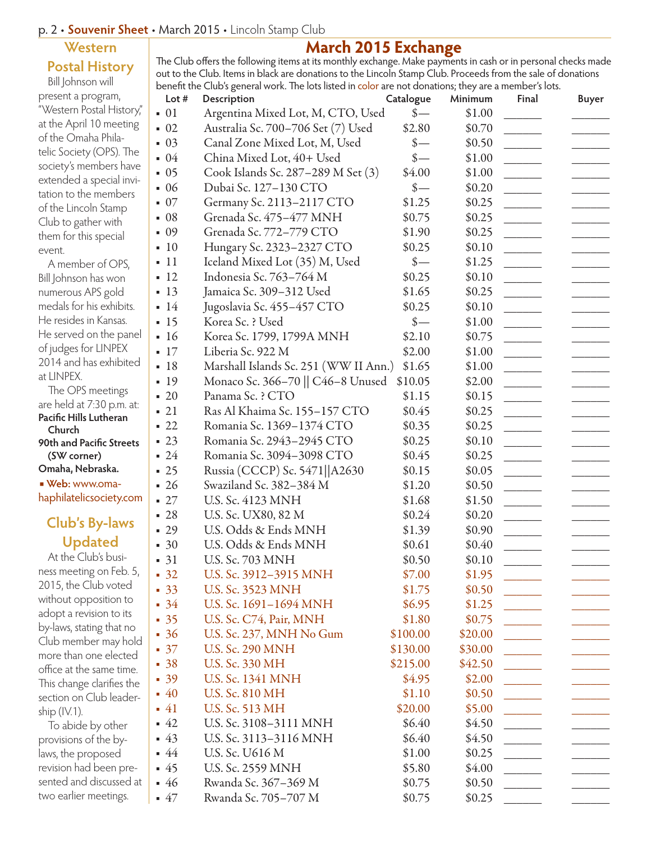### p. 2 • **Souvenir Sheet** • March 2015 • Lincoln Stamp Club

## **Western Postal History**

Bill Johnson will present a program, "Western Postal History," at the April 10 meeting of the Omaha Philatelic Society (OPS). The society's members have extended a special invitation to the members of the Lincoln Stamp Club to gather with them for this special event.

- A member of OPS, Bill Johnson has won numerous APS gold medals for his exhibits. He resides in Kansas. He served on the panel of judges for LINPEX 2014 and has exhibited at LINPEX.
- The OPS meetings are held at 7:30 p.m. at: **Pacific Hills Lutheran Church 90th and Pacific Streets (SW corner) Omaha, Nebraska.**  ■ **Web:** www.omahaphilatelicsociety.com

## **Club's By-laws Updated**

At the Club's business meeting on Feb. 5, 2015, the Club voted without opposition to adopt a revision to its by-laws, stating that no Club member may hold more than one elected office at the same time. This change clarifies the section on Club leadership (IV.1).

To abide by other provisions of the bylaws, the proposed revision had been presented and discussed at two earlier meetings.

## **March 2015 Exchange**

The Club offers the following items at its monthly exchange. Make payments in cash or in personal checks made out to the Club. Items in black are donations to the Lincoln Stamp Club. Proceeds from the sale of donations benefit the Club's general work. The lots listed in color are not donations; they are a member's lots.

| Lot #             | Description                           | Catalogue                   | Minimum | Final | <b>Buyer</b> |
|-------------------|---------------------------------------|-----------------------------|---------|-------|--------------|
| $\blacksquare$ 01 | Argentina Mixed Lot, M, CTO, Used     | $\frac{\ }{s-}$             | \$1.00  |       |              |
| $\blacksquare$ 02 | Australia Sc. 700-706 Set (7) Used    | \$2.80                      | \$0.70  |       |              |
| $-03$             | Canal Zone Mixed Lot, M, Used         | $\frac{\text{I}}{\text{I}}$ | \$0.50  |       |              |
| 04                | China Mixed Lot, 40+ Used             | $\frac{\ }{s-}$             | \$1.00  |       |              |
| $-05$             | Cook Islands Sc. 287–289 M Set (3)    | \$4.00                      | \$1.00  |       |              |
| $-06$             | Dubai Sc. 127-130 CTO                 | $\frac{\text{S}}{\text{A}}$ | \$0.20  |       |              |
| $-07$             | Germany Sc. 2113-2117 CTO             | \$1.25                      | \$0.25  |       |              |
| $-08$             | Grenada Sc. 475-477 MNH               | \$0.75                      | \$0.25  |       |              |
| $-09$             | Grenada Sc. 772-779 CTO               | \$1.90                      | \$0.25  |       |              |
| $-10$             | Hungary Sc. 2323-2327 CTO             | \$0.25                      | \$0.10  |       |              |
| 11<br>٠           | Iceland Mixed Lot (35) M, Used        | $\frac{\ }{s-}$             | \$1.25  |       |              |
| 12                | Indonesia Sc. 763-764 M               | \$0.25                      | \$0.10  |       |              |
| $-13$             | Jamaica Sc. 309–312 Used              | \$1.65                      | \$0.25  |       |              |
| $-14$             | Jugoslavia Sc. 455–457 CTO            | \$0.25                      | \$0.10  |       |              |
| 15                | Korea Sc. ? Used                      | $\frac{\text{I}}{\text{I}}$ | \$1.00  |       |              |
| $-16$             | Korea Sc. 1799, 1799A MNH             | \$2.10                      | \$0.75  |       |              |
| $-17$             | Liberia Sc. 922 M                     | \$2.00                      | \$1.00  |       |              |
| $-18$             | Marshall Islands Sc. 251 (WW II Ann.) | \$1.65                      | \$1.00  |       |              |
| $-19$             | Monaco Sc. 366–70    C46–8 Unused     | \$10.05                     | \$2.00  |       |              |
| $\blacksquare$ 20 | Panama Sc. ? CTO                      | \$1.15                      | \$0.15  |       |              |
| $-21$             | Ras Al Khaima Sc. 155-157 CTO         | \$0.45                      | \$0.25  |       |              |
| $-22$             | Romania Sc. 1369-1374 CTO             | \$0.35                      | \$0.25  |       |              |
| $-23$             | Romania Sc. 2943-2945 CTO             | \$0.25                      | \$0.10  |       |              |
| $-24$             | Romania Sc. 3094-3098 CTO             | \$0.45                      | \$0.25  |       |              |
| $-25$             | Russia (CCCP) Sc. 5471   A2630        | \$0.15                      | \$0.05  |       |              |
| $-26$             | Swaziland Sc. 382-384 M               | \$1.20                      | \$0.50  |       |              |
| $-27$             | U.S. Sc. 4123 MNH                     | \$1.68                      | \$1.50  |       |              |
| $-28$             | U.S. Sc. UX80, 82 M                   | \$0.24                      | \$0.20  |       |              |
| $-29$             | U.S. Odds & Ends MNH                  | \$1.39                      | \$0.90  |       |              |
| $-30$             | U.S. Odds & Ends MNH                  | \$0.61                      | \$0.40  |       |              |
| $-31$             | <b>U.S. Sc. 703 MNH</b>               | \$0.50                      | \$0.10  |       |              |
| $-32$             | U.S. Sc. 3912-3915 MNH                | \$7.00                      | \$1.95  |       |              |
| $-33$             | <b>U.S. Sc. 3523 MNH</b>              | \$1.75                      | \$0.50  |       |              |
| $-34$             | U.S. Sc. 1691-1694 MNH                | \$6.95                      | \$1.25  |       |              |
| $-35$             | U.S. Sc. C74, Pair, MNH               | \$1.80                      | \$0.75  |       |              |
| $-36$             | U.S. Sc. 237, MNH No Gum              | \$100.00                    | \$20.00 |       |              |
| $-37$             | <b>U.S. Sc. 290 MNH</b>               | \$130.00                    | \$30.00 |       |              |
| $-38$             | U.S. Sc. 330 MH                       | \$215.00                    | \$42.50 |       |              |
| $-39$             | <b>U.S. Sc. 1341 MNH</b>              | \$4.95                      | \$2.00  |       |              |
| $-40$             | U.S. Sc. 810 MH                       | \$1.10                      | \$0.50  |       |              |
| $-41$             | U.S. Sc. 513 MH                       | \$20.00                     | \$5.00  |       |              |
| $-42$             | U.S. Sc. 3108-3111 MNH                | \$6.40                      | \$4.50  |       |              |
| $-43$             | U.S. Sc. 3113-3116 MNH                | \$6.40                      | \$4.50  |       |              |
| $-44$             | U.S. Sc. U616 M                       | \$1.00                      | \$0.25  |       |              |
| $-45$             | U.S. Sc. 2559 MNH                     | \$5.80                      | \$4.00  |       |              |
| $-46$             | Rwanda Sc. 367-369 M                  | \$0.75                      | \$0.50  |       |              |
| $-47$             | Rwanda Sc. 705-707 M                  | \$0.75                      | \$0.25  |       |              |
|                   |                                       |                             |         |       |              |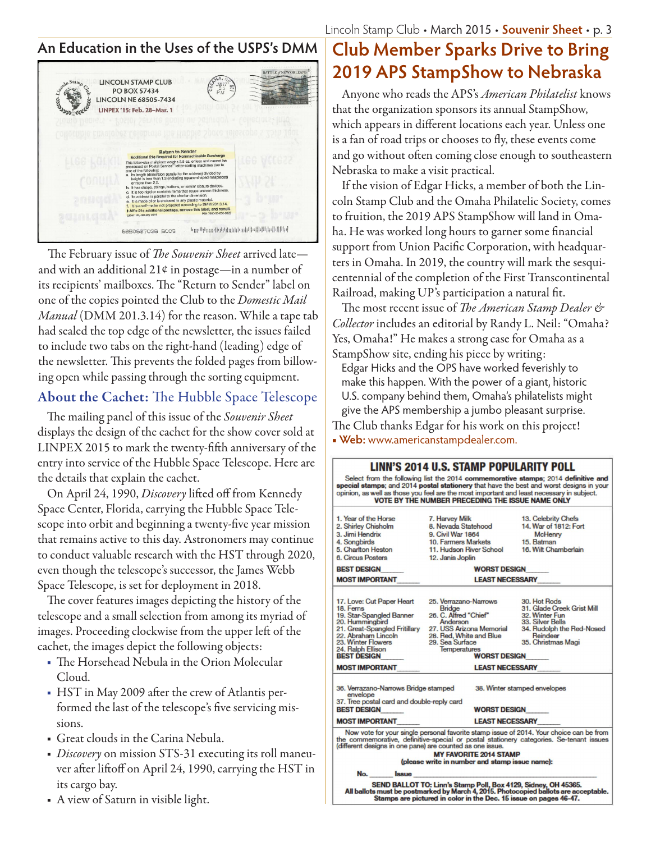

The February issue of *The Souvenir Sheet* arrived late and with an additional  $21¢$  in postage—in a number of its recipients' mailboxes. The "Return to Sender" label on one of the copies pointed the Club to the *Domestic Mail Manual* (DMM 201.3.14) for the reason. While a tape tab had sealed the top edge of the newsletter, the issues failed to include two tabs on the right-hand (leading) edge of the newsletter. This prevents the folded pages from billowing open while passing through the sorting equipment.

### About the Cachet: The Hubble Space Telescope

The mailing panel of this issue of the *Souvenir Sheet* displays the design of the cachet for the show cover sold at LINPEX 2015 to mark the twenty-fifth anniversary of the entry into service of the Hubble Space Telescope. Here are the details that explain the cachet.

On April 24, 1990, *Discovery* lifted off from Kennedy Space Center, Florida, carrying the Hubble Space Telescope into orbit and beginning a twenty-five year mission that remains active to this day. Astronomers may continue to conduct valuable research with the HST through 2020, even though the telescope's successor, the James Webb Space Telescope, is set for deployment in 2018.

The cover features images depicting the history of the telescope and a small selection from among its myriad of images. Proceeding clockwise from the upper left of the cachet, the images depict the following objects:

- The Horsehead Nebula in the Orion Molecular Cloud.
- HST in May 2009 after the crew of Atlantis performed the last of the telescope's five servicing missions.
- Great clouds in the Carina Nebula.
- *Discovery* on mission STS-31 executing its roll maneuver after liftoff on April 24, 1990, carrying the HST in its cargo bay.
- A view of Saturn in visible light.

# **Club Member Sparks Drive to Bring 2019 APS StampShow to Nebraska**

Anyone who reads the APS's *American Philatelist* knows that the organization sponsors its annual StampShow, which appears in different locations each year. Unless one is a fan of road trips or chooses to fly, these events come and go without often coming close enough to southeastern Nebraska to make a visit practical.

If the vision of Edgar Hicks, a member of both the Lincoln Stamp Club and the Omaha Philatelic Society, comes to fruition, the 2019 APS StampShow will land in Omaha. He was worked long hours to garner some financial support from Union Pacific Corporation, with headquarters in Omaha. In 2019, the country will mark the sesquicentennial of the completion of the First Transcontinental Railroad, making UP's participation a natural fit.

The most recent issue of *The American Stamp Dealer & Collector* includes an editorial by Randy L. Neil: "Omaha? Yes, Omaha!" He makes a strong case for Omaha as a StampShow site, ending his piece by writing:

Edgar Hicks and the OPS have worked feverishly to make this happen. With the power of a giant, historic U.S. company behind them, Omaha's philatelists might give the APS membership a jumbo pleasant surprise.

The Club thanks Edgar for his work on this project! ■ **Web:** www.americanstampdealer.com.

| <b>LINN'S 2014 U.S. STAMP POPULARITY POLL</b>                                                                                                                                                                                                                                                                                        |                                                                                                                                                                                                                               |                                                                                                                                                       |  |  |  |  |  |
|--------------------------------------------------------------------------------------------------------------------------------------------------------------------------------------------------------------------------------------------------------------------------------------------------------------------------------------|-------------------------------------------------------------------------------------------------------------------------------------------------------------------------------------------------------------------------------|-------------------------------------------------------------------------------------------------------------------------------------------------------|--|--|--|--|--|
| Select from the following list the 2014 commemorative stamps; 2014 definitive and<br>special stamps; and 2014 postal stationery that have the best and worst designs in your<br>opinion, as well as those you feel are the most important and least necessary in subject.<br><b>VOTE BY THE NUMBER PRECEDING THE ISSUE NAME ONLY</b> |                                                                                                                                                                                                                               |                                                                                                                                                       |  |  |  |  |  |
| 1. Year of the Horse<br>2. Shirley Chisholm<br>3. Jimi Hendrix<br>4. Songbirds<br>5. Charlton Heston<br><b>6. Circus Posters</b><br><b>BEST DESIGN</b><br><b>MOST IMPORTANT</b>                                                                                                                                                      | 7. Harvey Milk<br>8. Nevada Statehood<br>9. Civil War 1864<br>10. Farmers Markets<br>11. Hudson River School<br>12. Janis Joplin                                                                                              | 13. Celebrity Chefs<br>14. War of 1812: Fort<br><b>McHenry</b><br>15. Batman<br>16. Wilt Chamberlain<br><b>WORST DESIGN</b><br><b>LEAST NECESSARY</b> |  |  |  |  |  |
| 17. Love: Cut Paper Heart<br>18. Ferns<br>19. Star-Spangled Banner<br>20. Hummingbird<br>21. Great-Spangled Fritillary<br>22. Abraham Lincoln<br>23. Winter Flowers<br>24. Ralph Ellison<br><b>BEST DESIGN</b><br><b>MOST IMPORTANT</b>                                                                                              | 25. Verrazano-Narrows<br><b>Bridge</b><br>26. C. Alfred "Chief"<br>Anderson<br>27. USS Arizona Memorial<br>28. Red, White and Blue<br>29. Sea Surface<br><b>Temperatures</b><br><b>WORST DESIGN</b><br><b>LEAST NECESSARY</b> | 30. Hot Rods<br>31. Glade Creek Grist Mill<br>32. Winter Fun<br>33. Silver Bells<br>34. Rudolph the Red-Nosed<br>Reindeer<br>35. Christmas Magi       |  |  |  |  |  |
| 36. Verrazano-Narrows Bridge stamped<br>38. Winter stamped envelopes<br>envelope<br>37. Tree postal card and double-reply card<br><b>BEST DESIGN</b><br><b>WORST DESIGN</b><br><b>MOST IMPORTANT</b><br><b>LEAST NECESSARY</b>                                                                                                       |                                                                                                                                                                                                                               |                                                                                                                                                       |  |  |  |  |  |
| Now vote for your single personal favorite stamp issue of 2014. Your choice can be from<br>the commemorative, definitive-special or postal stationery categories. Se-tenant issues<br>(different designs in one pane) are counted as one issue.<br><b>MY FAVORITE 2014 STAMP</b><br>(please write in number and stamp issue name):   |                                                                                                                                                                                                                               |                                                                                                                                                       |  |  |  |  |  |
| No. Issue                                                                                                                                                                                                                                                                                                                            |                                                                                                                                                                                                                               |                                                                                                                                                       |  |  |  |  |  |
| SEND BALLOT TO: Linn's Stamp Poll, Box 4129, Sidney, OH 45365.<br>All ballots must be postmarked by March 4, 2015. Photocopied ballots are acceptable.<br>Stamps are pictured in color in the Dec. 15 issue on pages 46-47.                                                                                                          |                                                                                                                                                                                                                               |                                                                                                                                                       |  |  |  |  |  |